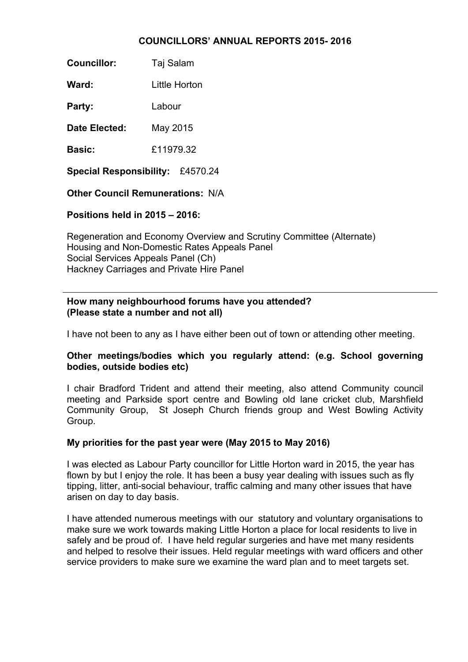#### **COUNCILLORS' ANNUAL REPORTS 2015- 2016**

**Councillor:** Taj Salam

Ward: **Little Horton** 

**Party:** Labour

**Date Elected:** May 2015

**Basic:** £11979.32

**Special Responsibility:** £4570.24

**Other Council Remunerations:** N/A

**Positions held in 2015 – 2016:**

Regeneration and Economy Overview and Scrutiny Committee (Alternate) Housing and Non-Domestic Rates Appeals Panel Social Services Appeals Panel (Ch) Hackney Carriages and Private Hire Panel

### **How many neighbourhood forums have you attended? (Please state a number and not all)**

I have not been to any as I have either been out of town or attending other meeting.

# **Other meetings/bodies which you regularly attend: (e.g. School governing bodies, outside bodies etc)**

I chair Bradford Trident and attend their meeting, also attend Community council meeting and Parkside sport centre and Bowling old lane cricket club, Marshfield Community Group, St Joseph Church friends group and West Bowling Activity Group.

# **My priorities for the past year were (May 2015 to May 2016)**

I was elected as Labour Party councillor for Little Horton ward in 2015, the year has flown by but I enjoy the role. It has been a busy year dealing with issues such as fly tipping, litter, anti-social behaviour, traffic calming and many other issues that have arisen on day to day basis.

I have attended numerous meetings with our statutory and voluntary organisations to make sure we work towards making Little Horton a place for local residents to live in safely and be proud of. I have held regular surgeries and have met many residents and helped to resolve their issues. Held regular meetings with ward officers and other service providers to make sure we examine the ward plan and to meet targets set.